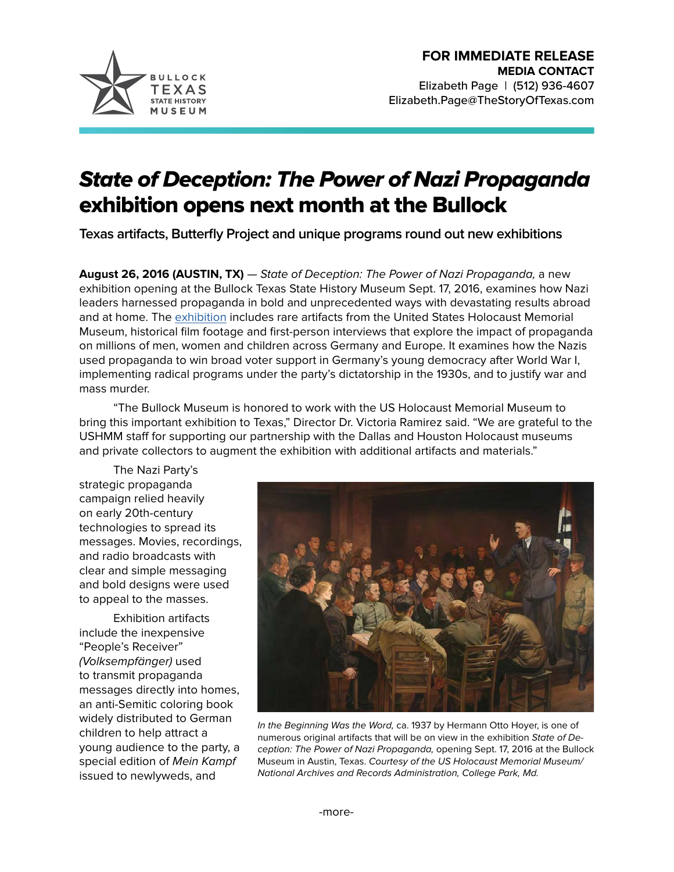

## State of Deception: The Power of Nazi Propaganda exhibition opens next month at the Bullock

**Texas artifacts, Butterfly Project and unique programs round out new exhibitions**

**August 26, 2016 (AUSTIN, TX)** — State of Deception: The Power of Nazi Propaganda, a new exhibition opening at the Bullock Texas State History Museum Sept. 17, 2016, examines how Nazi leaders harnessed propaganda in bold and unprecedented ways with devastating results abroad and at home. The [exhibition](http://www.thestoryoftexas.com/visit/exhibits/state-of-deception) includes rare artifacts from the United States Holocaust Memorial Museum, historical film footage and first-person interviews that explore the impact of propaganda on millions of men, women and children across Germany and Europe. It examines how the Nazis used propaganda to win broad voter support in Germany's young democracy after World War I, implementing radical programs under the party's dictatorship in the 1930s, and to justify war and mass murder.

"The Bullock Museum is honored to work with the US Holocaust Memorial Museum to bring this important exhibition to Texas," Director Dr. Victoria Ramirez said. "We are grateful to the USHMM staff for supporting our partnership with the Dallas and Houston Holocaust museums and private collectors to augment the exhibition with additional artifacts and materials."

The Nazi Party's strategic propaganda campaign relied heavily on early 20th-century technologies to spread its messages. Movies, recordings, and radio broadcasts with clear and simple messaging and bold designs were used to appeal to the masses.

Exhibition artifacts include the inexpensive "People's Receiver" (Volksempfänger) used to transmit propaganda messages directly into homes, an anti-Semitic coloring book widely distributed to German children to help attract a young audience to the party, a special edition of Mein Kampf issued to newlyweds, and



In the Beginning Was the Word, ca. 1937 by Hermann Otto Hoyer, is one of numerous original artifacts that will be on view in the exhibition State of Deception: The Power of Nazi Propaganda, opening Sept. 17, 2016 at the Bullock Museum in Austin, Texas. Courtesy of the US Holocaust Memorial Museum/ National Archives and Records Administration, College Park, Md.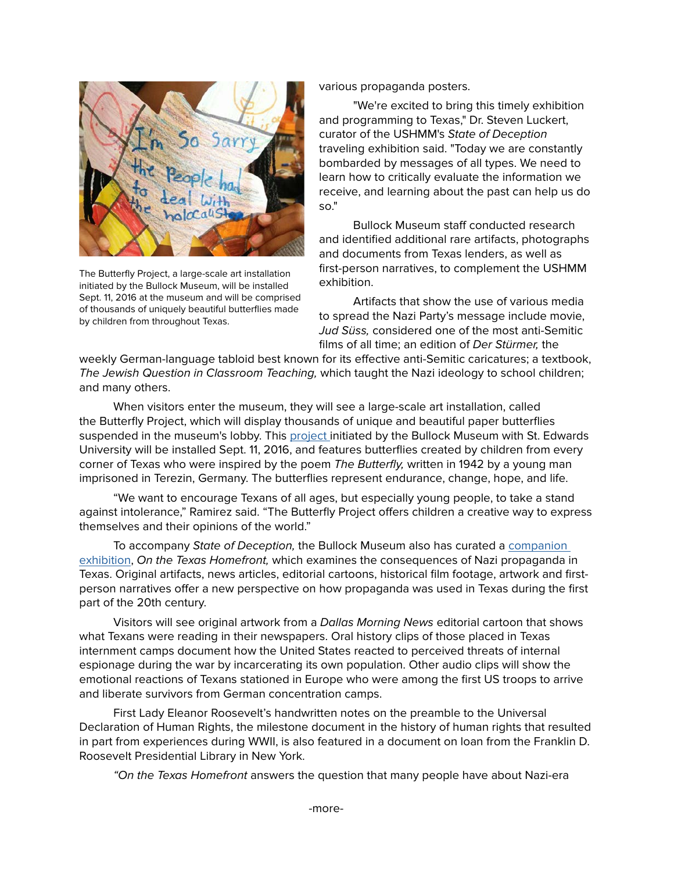

The Butterfly Project, a large-scale art installation initiated by the Bullock Museum, will be installed Sept. 11, 2016 at the museum and will be comprised of thousands of uniquely beautiful butterflies made by children from throughout Texas.

various propaganda posters.

"We're excited to bring this timely exhibition and programming to Texas," Dr. Steven Luckert, curator of the USHMM's State of Deception traveling exhibition said. "Today we are constantly bombarded by messages of all types. We need to learn how to critically evaluate the information we receive, and learning about the past can help us do so."

Bullock Museum staff conducted research and identified additional rare artifacts, photographs and documents from Texas lenders, as well as first-person narratives, to complement the USHMM exhibition.

Artifacts that show the use of various media to spread the Nazi Party's message include movie, Jud Süss, considered one of the most anti-Semitic films of all time; an edition of Der Stürmer, the

weekly German-language tabloid best known for its effective anti-Semitic caricatures; a textbook, The Jewish Question in Classroom Teaching, which taught the Nazi ideology to school children; and many others.

When visitors enter the museum, they will see a large-scale art installation, called the Butterfly Project, which will display thousands of unique and beautiful paper butterflies suspended in the museum's lobby. This [project i](http://www.thestoryoftexas.com/visit/exhibits/the-butterfly-project)nitiated by the Bullock Museum with St. Edwards University will be installed Sept. 11, 2016, and features butterflies created by children from every corner of Texas who were inspired by the poem The Butterfly, written in 1942 by a young man imprisoned in Terezin, Germany. The butterflies represent endurance, change, hope, and life.

"We want to encourage Texans of all ages, but especially young people, to take a stand against intolerance," Ramirez said. "The Butterfly Project offers children a creative way to express themselves and their opinions of the world."

To accompany State of Deception, the Bullock Museum also has curated a [companion](http://www.thestoryoftexas.com/visit/exhibits/state-of-deception#homefront)  [exhibition,](http://www.thestoryoftexas.com/visit/exhibits/state-of-deception#homefront) On the Texas Homefront, which examines the consequences of Nazi propaganda in Texas. Original artifacts, news articles, editorial cartoons, historical film footage, artwork and firstperson narratives offer a new perspective on how propaganda was used in Texas during the first part of the 20th century.

Visitors will see original artwork from a Dallas Morning News editorial cartoon that shows what Texans were reading in their newspapers. Oral history clips of those placed in Texas internment camps document how the United States reacted to perceived threats of internal espionage during the war by incarcerating its own population. Other audio clips will show the emotional reactions of Texans stationed in Europe who were among the first US troops to arrive and liberate survivors from German concentration camps.

First Lady Eleanor Roosevelt's handwritten notes on the preamble to the Universal Declaration of Human Rights, the milestone document in the history of human rights that resulted in part from experiences during WWII, is also featured in a document on loan from the Franklin D. Roosevelt Presidential Library in New York.

"On the Texas Homefront answers the question that many people have about Nazi-era